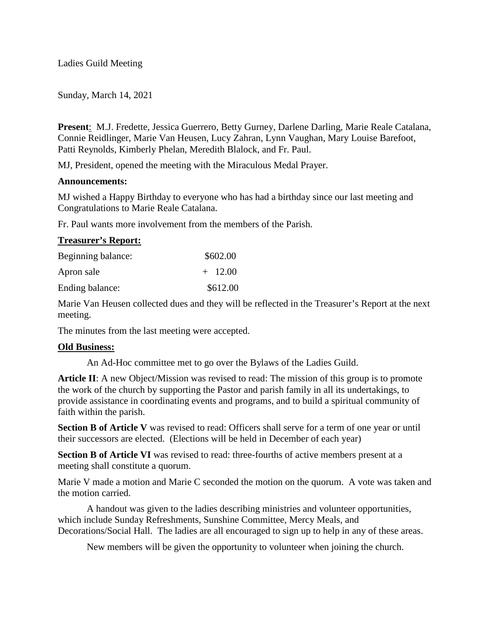Ladies Guild Meeting

Sunday, March 14, 2021

**Present**: M.J. Fredette, Jessica Guerrero, Betty Gurney, Darlene Darling, Marie Reale Catalana, Connie Reidlinger, Marie Van Heusen, Lucy Zahran, Lynn Vaughan, Mary Louise Barefoot, Patti Reynolds, Kimberly Phelan, Meredith Blalock, and Fr. Paul.

MJ, President, opened the meeting with the Miraculous Medal Prayer.

# **Announcements:**

MJ wished a Happy Birthday to everyone who has had a birthday since our last meeting and Congratulations to Marie Reale Catalana.

Fr. Paul wants more involvement from the members of the Parish.

# **Treasurer's Report:**

| Beginning balance: | \$602.00  |
|--------------------|-----------|
| Apron sale         | $+$ 12.00 |
| Ending balance:    | \$612.00  |

Marie Van Heusen collected dues and they will be reflected in the Treasurer's Report at the next meeting.

The minutes from the last meeting were accepted.

# **Old Business:**

An Ad-Hoc committee met to go over the Bylaws of the Ladies Guild.

**Article II**: A new Object/Mission was revised to read: The mission of this group is to promote the work of the church by supporting the Pastor and parish family in all its undertakings, to provide assistance in coordinating events and programs, and to build a spiritual community of faith within the parish.

**Section B of Article V** was revised to read: Officers shall serve for a term of one year or until their successors are elected. (Elections will be held in December of each year)

**Section B of Article VI** was revised to read: three-fourths of active members present at a meeting shall constitute a quorum.

Marie V made a motion and Marie C seconded the motion on the quorum. A vote was taken and the motion carried.

A handout was given to the ladies describing ministries and volunteer opportunities, which include Sunday Refreshments, Sunshine Committee, Mercy Meals, and Decorations/Social Hall. The ladies are all encouraged to sign up to help in any of these areas.

New members will be given the opportunity to volunteer when joining the church.